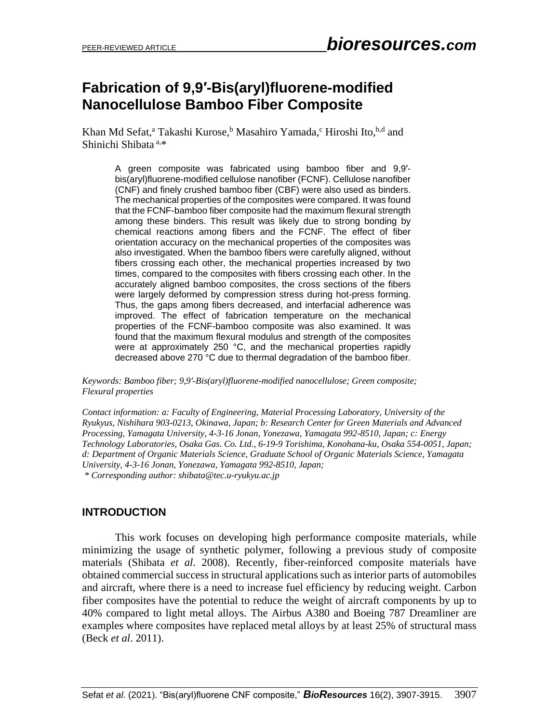# **Fabrication of 9,9′-Bis(aryl)fluorene-modified Nanocellulose Bamboo Fiber Composite**

Khan Md Sefat,<sup>a</sup> Takashi Kurose,<sup>b</sup> Masahiro Yamada,<sup>c</sup> Hiroshi Ito,<sup>b,d</sup> and Shinichi Shibata a,\*

> A green composite was fabricated using bamboo fiber and 9,9′ bis(aryl)fluorene-modified cellulose nanofiber (FCNF). Cellulose nanofiber (CNF) and finely crushed bamboo fiber (CBF) were also used as binders. The mechanical properties of the composites were compared. It was found that the FCNF-bamboo fiber composite had the maximum flexural strength among these binders. This result was likely due to strong bonding by chemical reactions among fibers and the FCNF. The effect of fiber orientation accuracy on the mechanical properties of the composites was also investigated. When the bamboo fibers were carefully aligned, without fibers crossing each other, the mechanical properties increased by two times, compared to the composites with fibers crossing each other. In the accurately aligned bamboo composites, the cross sections of the fibers were largely deformed by compression stress during hot-press forming. Thus, the gaps among fibers decreased, and interfacial adherence was improved. The effect of fabrication temperature on the mechanical properties of the FCNF-bamboo composite was also examined. It was found that the maximum flexural modulus and strength of the composites were at approximately 250 °C, and the mechanical properties rapidly decreased above 270 °C due to thermal degradation of the bamboo fiber.

*Keywords: Bamboo fiber; 9,9′-Bis(aryl)fluorene-modified nanocellulose; Green composite; Flexural properties*

*Contact information: a: Faculty of Engineering, Material Processing Laboratory, University of the Ryukyus, Nishihara 903-0213, Okinawa, Japan; b: Research Center for Green Materials and Advanced Processing, Yamagata University, 4-3-16 Jonan, Yonezawa, Yamagata 992-8510, Japan; c: Energy Technology Laboratories, Osaka Gas. Co. Ltd., 6-19-9 Torishima, Konohana-ku, Osaka 554-0051, Japan; d: Department of Organic Materials Science, Graduate School of Organic Materials Science, Yamagata University, 4-3-16 Jonan, Yonezawa, Yamagata 992-8510, Japan; \* Corresponding author: shibata@tec.u-ryukyu.ac.jp*

### **INTRODUCTION**

This work focuses on developing high performance composite materials, while minimizing the usage of synthetic polymer, following a previous study of composite materials (Shibata *et al*. 2008). Recently, fiber-reinforced composite materials have obtained commercial success in structural applications such as interior parts of automobiles and aircraft, where there is a need to increase fuel efficiency by reducing weight. Carbon fiber composites have the potential to reduce the weight of aircraft components by up to 40% compared to light metal alloys. The Airbus A380 and Boeing 787 Dreamliner are examples where composites have replaced metal alloys by at least 25% of structural mass (Beck *et al*. 2011).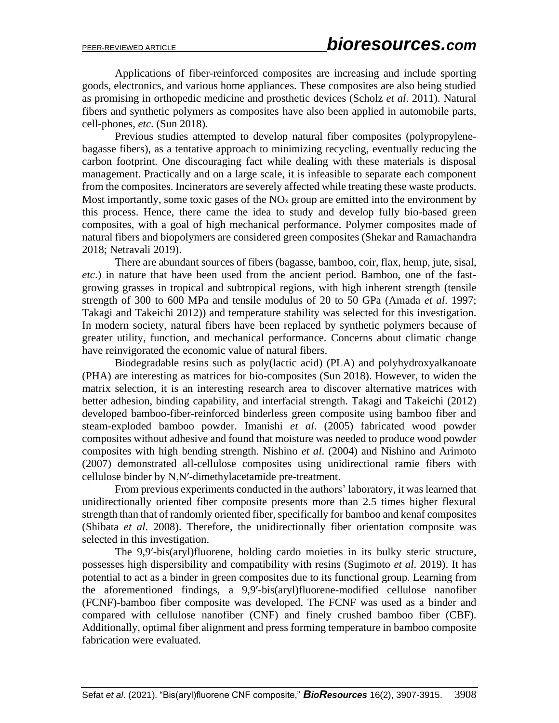Applications of fiber-reinforced composites are increasing and include sporting goods, electronics, and various home appliances. These composites are also being studied as promising in orthopedic medicine and prosthetic devices (Scholz *et al*. 2011). Natural fibers and synthetic polymers as composites have also been applied in automobile parts, cell-phones, *etc*. (Sun 2018).

Previous studies attempted to develop natural fiber composites (polypropylenebagasse fibers), as a tentative approach to minimizing recycling, eventually reducing the carbon footprint. One discouraging fact while dealing with these materials is disposal management. Practically and on a large scale, it is infeasible to separate each component from the composites. Incinerators are severely affected while treating these waste products. Most importantly, some toxic gases of the  $NO<sub>x</sub>$  group are emitted into the environment by this process. Hence, there came the idea to study and develop fully bio-based green composites, with a goal of high mechanical performance. Polymer composites made of natural fibers and biopolymers are considered green composites (Shekar and Ramachandra 2018; Netravali 2019).

There are abundant sources of fibers (bagasse, bamboo, coir, flax, hemp, jute, sisal, *etc*.) in nature that have been used from the ancient period. Bamboo, one of the fastgrowing grasses in tropical and subtropical regions, with high inherent strength (tensile strength of 300 to 600 MPa and tensile modulus of 20 to 50 GPa (Amada *et al*. 1997; Takagi and Takeichi 2012)) and temperature stability was selected for this investigation. In modern society, natural fibers have been replaced by synthetic polymers because of greater utility, function, and mechanical performance. Concerns about climatic change have reinvigorated the economic value of natural fibers.

Biodegradable resins such as poly(lactic acid) (PLA) and polyhydroxyalkanoate (PHA) are interesting as matrices for bio-composites (Sun 2018). However, to widen the matrix selection, it is an interesting research area to discover alternative matrices with better adhesion, binding capability, and interfacial strength. Takagi and Takeichi (2012) developed bamboo-fiber-reinforced binderless green composite using bamboo fiber and steam-exploded bamboo powder. Imanishi *et al*. (2005) fabricated wood powder composites without adhesive and found that moisture was needed to produce wood powder composites with high bending strength. Nishino *et al*. (2004) and Nishino and Arimoto (2007) demonstrated all-cellulose composites using unidirectional ramie fibers with cellulose binder by N,N′-dimethylacetamide pre-treatment.

From previous experiments conducted in the authors' laboratory, it was learned that unidirectionally oriented fiber composite presents more than 2.5 times higher flexural strength than that of randomly oriented fiber, specifically for bamboo and kenaf composites (Shibata *et al*. 2008). Therefore, the unidirectionally fiber orientation composite was selected in this investigation.

The 9,9′-bis(aryl)fluorene, holding cardo moieties in its bulky steric structure, possesses high dispersibility and compatibility with resins (Sugimoto *et al*. 2019). It has potential to act as a binder in green composites due to its functional group. Learning from the aforementioned findings, a 9,9′-bis(aryl)fluorene-modified cellulose nanofiber (FCNF)-bamboo fiber composite was developed. The FCNF was used as a binder and compared with cellulose nanofiber (CNF) and finely crushed bamboo fiber (CBF). Additionally, optimal fiber alignment and press forming temperature in bamboo composite fabrication were evaluated.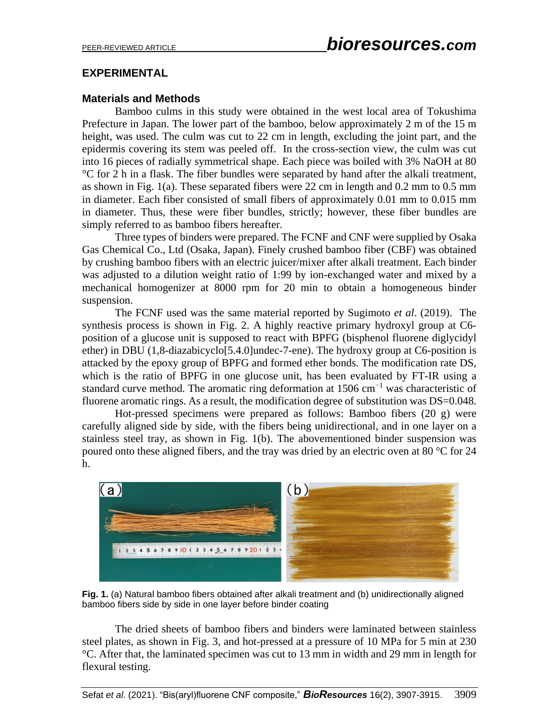### **EXPERIMENTAL**

### **Materials and Methods**

Bamboo culms in this study were obtained in the west local area of Tokushima Prefecture in Japan. The lower part of the bamboo, below approximately 2 m of the 15 m height, was used. The culm was cut to 22 cm in length, excluding the joint part, and the epidermis covering its stem was peeled off. In the cross-section view, the culm was cut into 16 pieces of radially symmetrical shape. Each piece was boiled with 3% NaOH at 80 °C for 2 h in a flask. The fiber bundles were separated by hand after the alkali treatment, as shown in Fig. 1(a). These separated fibers were 22 cm in length and 0.2 mm to 0.5 mm in diameter. Each fiber consisted of small fibers of approximately 0.01 mm to 0.015 mm in diameter. Thus, these were fiber bundles, strictly; however, these fiber bundles are simply referred to as bamboo fibers hereafter.

Three types of binders were prepared. The FCNF and CNF were supplied by Osaka Gas Chemical Co., Ltd (Osaka, Japan). Finely crushed bamboo fiber (CBF) was obtained by crushing bamboo fibers with an electric juicer/mixer after alkali treatment. Each binder was adjusted to a dilution weight ratio of 1:99 by ion-exchanged water and mixed by a mechanical homogenizer at 8000 rpm for 20 min to obtain a homogeneous binder suspension.

The FCNF used was the same material reported by Sugimoto *et al*. (2019). The synthesis process is shown in Fig. 2. A highly reactive primary hydroxyl group at C6 position of a glucose unit is supposed to react with BPFG (bisphenol fluorene diglycidyl ether) in DBU (1,8-diazabicyclo[5.4.0]undec-7-ene). The hydroxy group at C6-position is attacked by the epoxy group of BPFG and formed ether bonds. The modification rate DS, which is the ratio of BPFG in one glucose unit, has been evaluated by FT-IR using a standard curve method. The aromatic ring deformation at 1506 cm−1 was characteristic of fluorene aromatic rings. As a result, the modification degree of substitution was DS=0.048.

Hot-pressed specimens were prepared as follows: Bamboo fibers (20 g) were carefully aligned side by side, with the fibers being unidirectional, and in one layer on a stainless steel tray, as shown in Fig. 1(b). The abovementioned binder suspension was poured onto these aligned fibers, and the tray was dried by an electric oven at 80 °C for 24 h.



**Fig. 1.** (a) Natural bamboo fibers obtained after alkali treatment and (b) unidirectionally aligned bamboo fibers side by side in one layer before binder coating

The dried sheets of bamboo fibers and binders were laminated between stainless steel plates, as shown in Fig. 3, and hot-pressed at a pressure of 10 MPa for 5 min at 230 °C. After that, the laminated specimen was cut to 13 mm in width and 29 mm in length for flexural testing.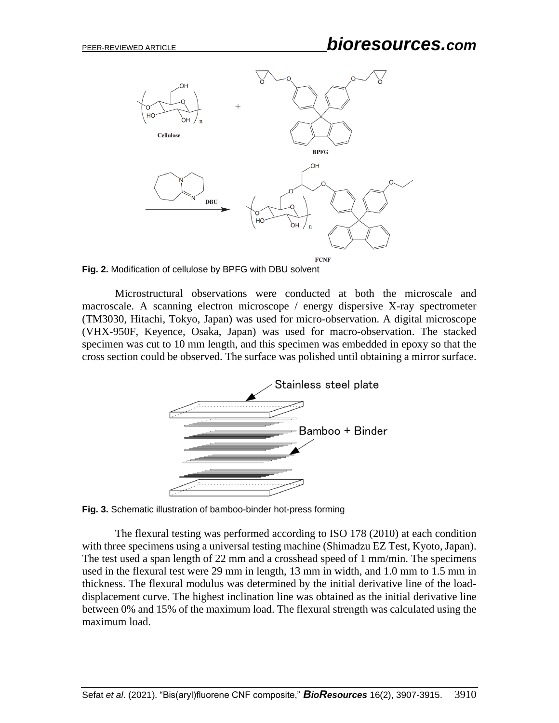## PEER-REVIEWED ARTICLE *bioresources.com*





Microstructural observations were conducted at both the microscale and macroscale. A scanning electron microscope / energy dispersive X-ray spectrometer (TM3030, Hitachi, Tokyo, Japan) was used for micro-observation. A digital microscope (VHX-950F, Keyence, Osaka, Japan) was used for macro-observation. The stacked specimen was cut to 10 mm length, and this specimen was embedded in epoxy so that the cross section could be observed. The surface was polished until obtaining a mirror surface.



**Fig. 3.** Schematic illustration of bamboo-binder hot-press forming

The flexural testing was performed according to ISO 178 (2010) at each condition with three specimens using a universal testing machine (Shimadzu EZ Test, Kyoto, Japan). The test used a span length of 22 mm and a crosshead speed of 1 mm/min. The specimens used in the flexural test were 29 mm in length, 13 mm in width, and 1.0 mm to 1.5 mm in thickness. The flexural modulus was determined by the initial derivative line of the loaddisplacement curve. The highest inclination line was obtained as the initial derivative line between 0% and 15% of the maximum load. The flexural strength was calculated using the maximum load.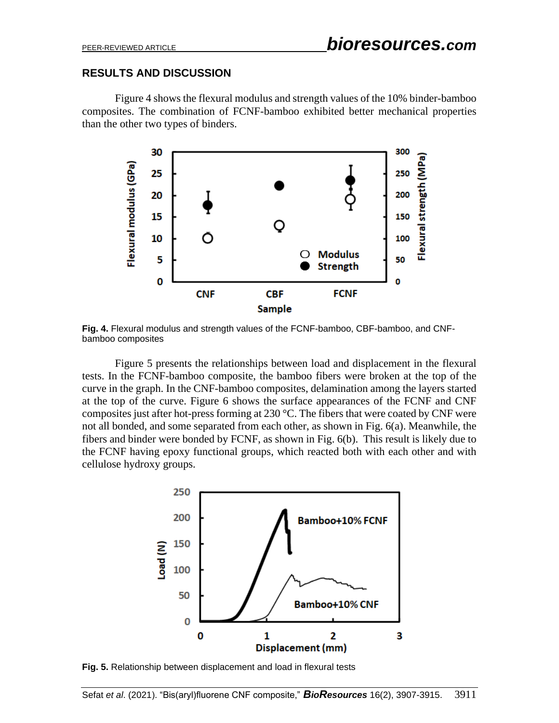### **RESULTS AND DISCUSSION**

Figure 4 shows the flexural modulus and strength values of the 10% binder-bamboo composites. The combination of FCNF-bamboo exhibited better mechanical properties than the other two types of binders.



**Fig. 4.** Flexural modulus and strength values of the FCNF-bamboo, CBF-bamboo, and CNFbamboo composites

Figure 5 presents the relationships between load and displacement in the flexural tests. In the FCNF-bamboo composite, the bamboo fibers were broken at the top of the curve in the graph. In the CNF-bamboo composites, delamination among the layers started at the top of the curve. Figure 6 shows the surface appearances of the FCNF and CNF composites just after hot-press forming at 230 °C. The fibers that were coated by CNF were not all bonded, and some separated from each other, as shown in Fig. 6(a). Meanwhile, the fibers and binder were bonded by FCNF, as shown in Fig. 6(b). This result is likely due to the FCNF having epoxy functional groups, which reacted both with each other and with cellulose hydroxy groups.



**Fig. 5.** Relationship between displacement and load in flexural tests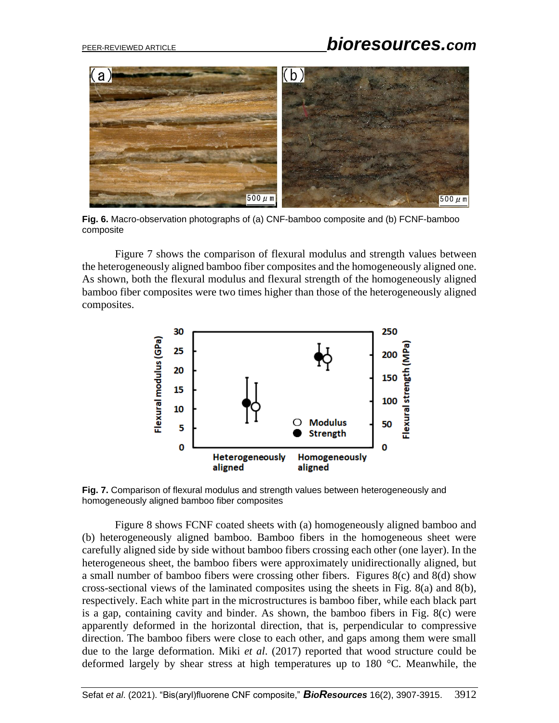# PEER-REVIEWED ARTICLE *bioresources.com*



**Fig. 6.** Macro-observation photographs of (a) CNF-bamboo composite and (b) FCNF-bamboo composite

Figure 7 shows the comparison of flexural modulus and strength values between the heterogeneously aligned bamboo fiber composites and the homogeneously aligned one. As shown, both the flexural modulus and flexural strength of the homogeneously aligned bamboo fiber composites were two times higher than those of the heterogeneously aligned composites.



**Fig. 7.** Comparison of flexural modulus and strength values between heterogeneously and homogeneously aligned bamboo fiber composites

Figure 8 shows FCNF coated sheets with (a) homogeneously aligned bamboo and (b) heterogeneously aligned bamboo. Bamboo fibers in the homogeneous sheet were carefully aligned side by side without bamboo fibers crossing each other (one layer). In the heterogeneous sheet, the bamboo fibers were approximately unidirectionally aligned, but a small number of bamboo fibers were crossing other fibers. Figures 8(c) and 8(d) show cross-sectional views of the laminated composites using the sheets in Fig. 8(a) and 8(b), respectively. Each white part in the microstructures is bamboo fiber, while each black part is a gap, containing cavity and binder. As shown, the bamboo fibers in Fig. 8(c) were apparently deformed in the horizontal direction, that is, perpendicular to compressive direction. The bamboo fibers were close to each other, and gaps among them were small due to the large deformation. Miki *et al*. (2017) reported that wood structure could be deformed largely by shear stress at high temperatures up to 180 °C. Meanwhile, the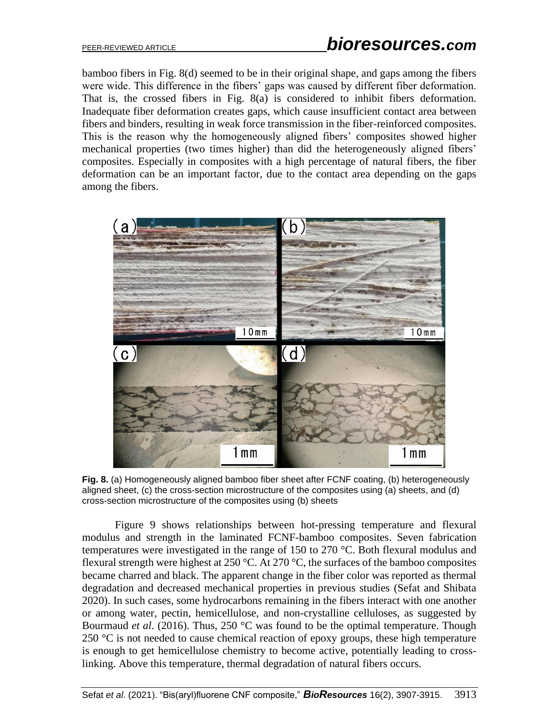bamboo fibers in Fig. 8(d) seemed to be in their original shape, and gaps among the fibers were wide. This difference in the fibers' gaps was caused by different fiber deformation. That is, the crossed fibers in Fig. 8(a) is considered to inhibit fibers deformation. Inadequate fiber deformation creates gaps, which cause insufficient contact area between fibers and binders, resulting in weak force transmission in the fiber-reinforced composites. This is the reason why the homogeneously aligned fibers' composites showed higher mechanical properties (two times higher) than did the heterogeneously aligned fibers' composites. Especially in composites with a high percentage of natural fibers, the fiber deformation can be an important factor, due to the contact area depending on the gaps among the fibers.



**Fig. 8.** (a) Homogeneously aligned bamboo fiber sheet after FCNF coating, (b) heterogeneously aligned sheet, (c) the cross-section microstructure of the composites using (a) sheets, and (d) cross-section microstructure of the composites using (b) sheets

Figure 9 shows relationships between hot-pressing temperature and flexural modulus and strength in the laminated FCNF-bamboo composites. Seven fabrication temperatures were investigated in the range of 150 to 270 °C. Both flexural modulus and flexural strength were highest at 250 °C. At 270 °C, the surfaces of the bamboo composites became charred and black. The apparent change in the fiber color was reported as thermal degradation and decreased mechanical properties in previous studies (Sefat and Shibata 2020). In such cases, some hydrocarbons remaining in the fibers interact with one another or among water, pectin, hemicellulose, and non-crystalline celluloses, as suggested by Bourmaud *et al*. (2016). Thus, 250 °C was found to be the optimal temperature. Though 250  $\degree$ C is not needed to cause chemical reaction of epoxy groups, these high temperature is enough to get hemicellulose chemistry to become active, potentially leading to crosslinking. Above this temperature, thermal degradation of natural fibers occurs.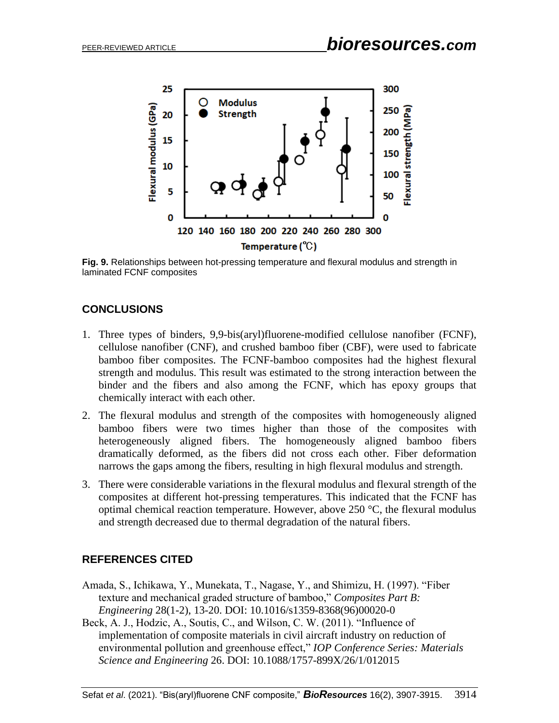

**Fig. 9.** Relationships between hot-pressing temperature and flexural modulus and strength in laminated FCNF composites

## **CONCLUSIONS**

- 1. Three types of binders, 9,9-bis(aryl)fluorene-modified cellulose nanofiber (FCNF), cellulose nanofiber (CNF), and crushed bamboo fiber (CBF), were used to fabricate bamboo fiber composites. The FCNF-bamboo composites had the highest flexural strength and modulus. This result was estimated to the strong interaction between the binder and the fibers and also among the FCNF, which has epoxy groups that chemically interact with each other.
- 2. The flexural modulus and strength of the composites with homogeneously aligned bamboo fibers were two times higher than those of the composites with heterogeneously aligned fibers. The homogeneously aligned bamboo fibers dramatically deformed, as the fibers did not cross each other. Fiber deformation narrows the gaps among the fibers, resulting in high flexural modulus and strength.
- 3. There were considerable variations in the flexural modulus and flexural strength of the composites at different hot-pressing temperatures. This indicated that the FCNF has optimal chemical reaction temperature. However, above 250 °C, the flexural modulus and strength decreased due to thermal degradation of the natural fibers.

### **REFERENCES CITED**

- Amada, S., Ichikawa, Y., Munekata, T., Nagase, Y., and Shimizu, H. (1997). "Fiber texture and mechanical graded structure of bamboo," *Composites Part B: Engineering* 28(1-2), 13-20. DOI: 10.1016/s1359-8368(96)00020-0
- Beck, A. J., Hodzic, A., Soutis, C., and Wilson, C. W. (2011). "Influence of implementation of composite materials in civil aircraft industry on reduction of environmental pollution and greenhouse effect," *IOP Conference Series: Materials Science and Engineering* 26. DOI: 10.1088/1757-899X/26/1/012015